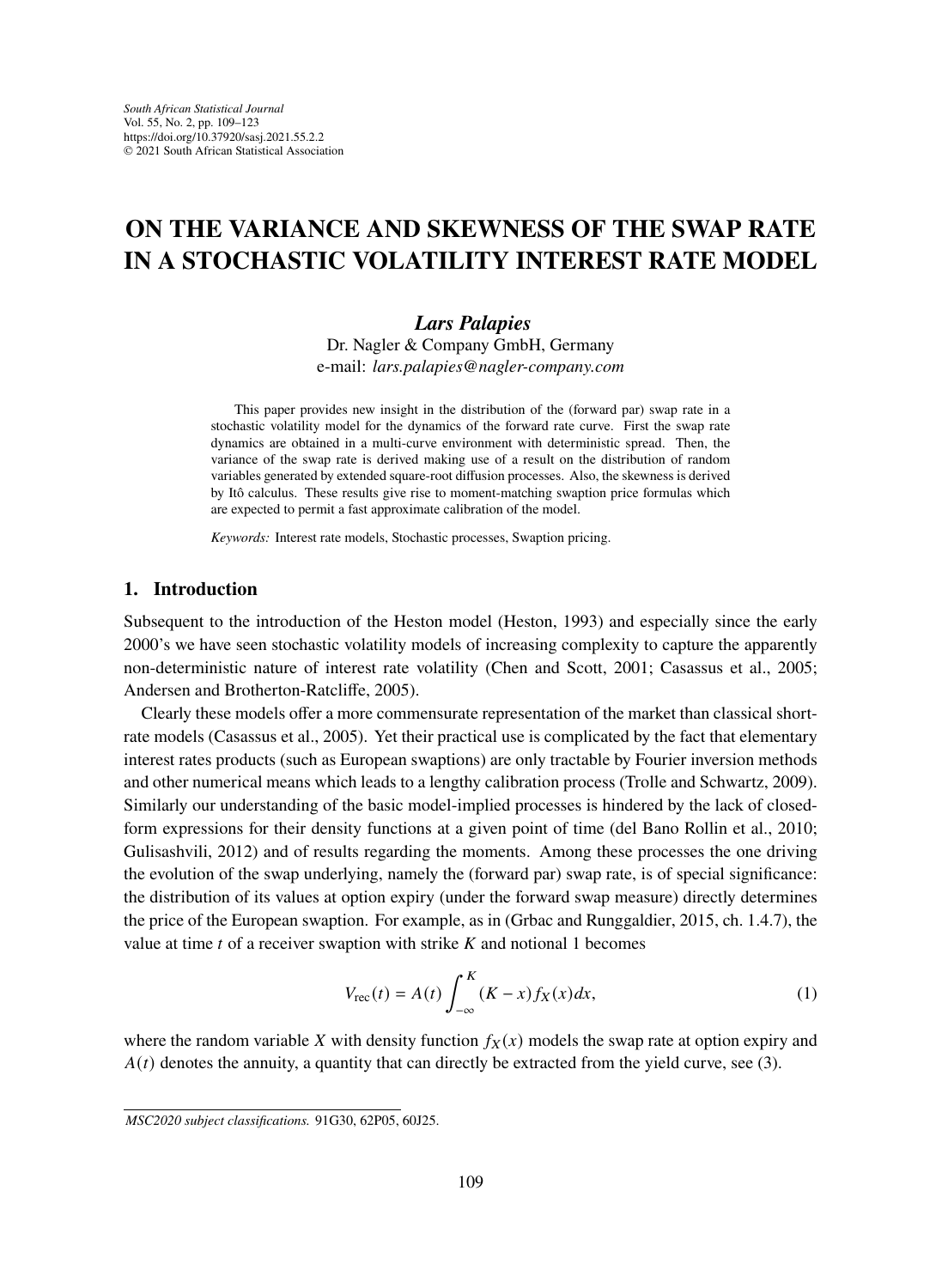# **ON THE VARIANCE AND SKEWNESS OF THE SWAP RATE IN A STOCHASTIC VOLATILITY INTEREST RATE MODEL**

# *Lars Palapies*

Dr. Nagler & Company GmbH, Germany e-mail: *lars.palapies@nagler-company.com*

This paper provides new insight in the distribution of the (forward par) swap rate in a stochastic volatility model for the dynamics of the forward rate curve. First the swap rate dynamics are obtained in a multi-curve environment with deterministic spread. Then, the variance of the swap rate is derived making use of a result on the distribution of random variables generated by extended square-root diffusion processes. Also, the skewness is derived by Itô calculus. These results give rise to moment-matching swaption price formulas which are expected to permit a fast approximate calibration of the model.

*Keywords:* Interest rate models, Stochastic processes, Swaption pricing.

# **1. Introduction**

Subsequent to the introduction of the Heston model (Heston, 1993) and especially since the early 2000's we have seen stochastic volatility models of increasing complexity to capture the apparently non-deterministic nature of interest rate volatility (Chen and Scott, 2001; Casassus et al., 2005; Andersen and Brotherton-Ratcliffe, 2005).

Clearly these models offer a more commensurate representation of the market than classical shortrate models (Casassus et al., 2005). Yet their practical use is complicated by the fact that elementary interest rates products (such as European swaptions) are only tractable by Fourier inversion methods and other numerical means which leads to a lengthy calibration process (Trolle and Schwartz, 2009). Similarly our understanding of the basic model-implied processes is hindered by the lack of closedform expressions for their density functions at a given point of time (del Bano Rollin et al., 2010; Gulisashvili, 2012) and of results regarding the moments. Among these processes the one driving the evolution of the swap underlying, namely the (forward par) swap rate, is of special significance: the distribution of its values at option expiry (under the forward swap measure) directly determines the price of the European swaption. For example, as in (Grbac and Runggaldier, 2015, ch. 1.4.7), the value at time  $t$  of a receiver swaption with strike  $K$  and notional 1 becomes

$$
V_{\rm rec}(t) = A(t) \int_{-\infty}^{K} (K - x) f_X(x) dx,
$$
\n(1)

where the random variable X with density function  $f_X(x)$  models the swap rate at option expiry and  $A(t)$  denotes the annuity, a quantity that can directly be extracted from the yield curve, see (3).

*MSC2020 subject classifications.* 91G30, 62P05, 60J25.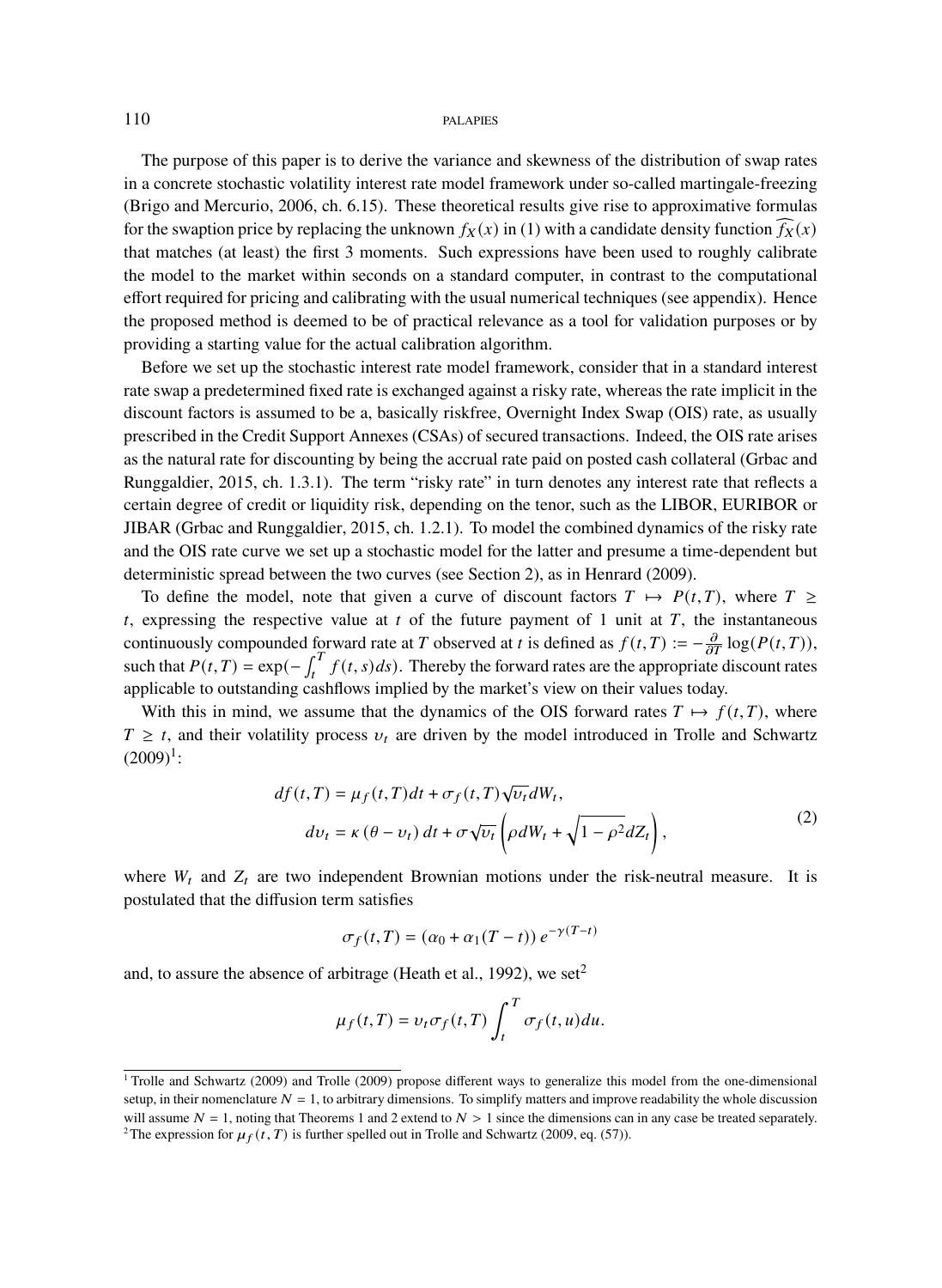The purpose of this paper is to derive the variance and skewness of the distribution of swap rates in a concrete stochastic volatility interest rate model framework under so-called martingale-freezing (Brigo and Mercurio, 2006, ch. 6.15). These theoretical results give rise to approximative formulas for the swaption price by replacing the unknown  $f_X(x)$  in (1) with a candidate density function  $f_X(x)$ that matches (at least) the first 3 moments. Such expressions have been used to roughly calibrate the model to the market within seconds on a standard computer, in contrast to the computational effort required for pricing and calibrating with the usual numerical techniques (see appendix). Hence the proposed method is deemed to be of practical relevance as a tool for validation purposes or by providing a starting value for the actual calibration algorithm.

Before we set up the stochastic interest rate model framework, consider that in a standard interest rate swap a predetermined fixed rate is exchanged against a risky rate, whereas the rate implicit in the discount factors is assumed to be a, basically riskfree, Overnight Index Swap (OIS) rate, as usually prescribed in the Credit Support Annexes (CSAs) of secured transactions. Indeed, the OIS rate arises as the natural rate for discounting by being the accrual rate paid on posted cash collateral (Grbac and Runggaldier, 2015, ch. 1.3.1). The term "risky rate" in turn denotes any interest rate that reflects a certain degree of credit or liquidity risk, depending on the tenor, such as the LIBOR, EURIBOR or JIBAR (Grbac and Runggaldier, 2015, ch. 1.2.1). To model the combined dynamics of the risky rate and the OIS rate curve we set up a stochastic model for the latter and presume a time-dependent but deterministic spread between the two curves (see Section 2), as in Henrard (2009).

To define the model, note that given a curve of discount factors  $T \mapsto P(t,T)$ , where  $T \geq$  $t$ , expressing the respective value at  $t$  of the future payment of 1 unit at  $T$ , the instantaneous continuously compounded forward rate at T observed at t is defined as  $f(t,T) := -\frac{\partial}{\partial T} \log(P(t,T))$ , such that  $P(t, T) = \exp(-\int_t^T f(t, s) ds)$ . Thereby the forward rates are the appropriate discount rates applicable to outstanding cashflows implied by the market's view on their values today.

With this in mind, we assume that the dynamics of the OIS forward rates  $T \mapsto f(t,T)$ , where  $T \geq t$ , and their volatility process  $v_t$  are driven by the model introduced in Trolle and Schwartz  $(2009)^{1}$ :

$$
df(t,T) = \mu_f(t,T)dt + \sigma_f(t,T)\sqrt{\nu_t}dW_t,
$$
  
\n
$$
dv_t = \kappa(\theta - \nu_t) dt + \sigma \sqrt{\nu_t} \left(\rho dW_t + \sqrt{1 - \rho^2}dZ_t\right),
$$
\n(2)

where  $W_t$  and  $Z_t$  are two independent Brownian motions under the risk-neutral measure. It is postulated that the diffusion term satisfies

$$
\sigma_f(t,T) = (\alpha_0 + \alpha_1(T-t)) e^{-\gamma(T-t)}
$$

and, to assure the absence of arbitrage (Heath et al., 1992), we set<sup>2</sup>

$$
\mu_f(t,T) = v_t \sigma_f(t,T) \int_t^T \sigma_f(t,u) du.
$$

<sup>&</sup>lt;sup>1</sup> Trolle and Schwartz (2009) and Trolle (2009) propose different ways to generalize this model from the one-dimensional setup, in their nomenclature  $N = 1$ , to arbitrary dimensions. To simplify matters and improve readability the whole discussion will assume  $N = 1$ , noting that Theorems 1 and 2 extend to  $N > 1$  since the dimensions can in any case be treated separately. <sup>2</sup>The expression for  $\mu_f(t, T)$  is further spelled out in Trolle and Schwartz (2009, eq. (57)).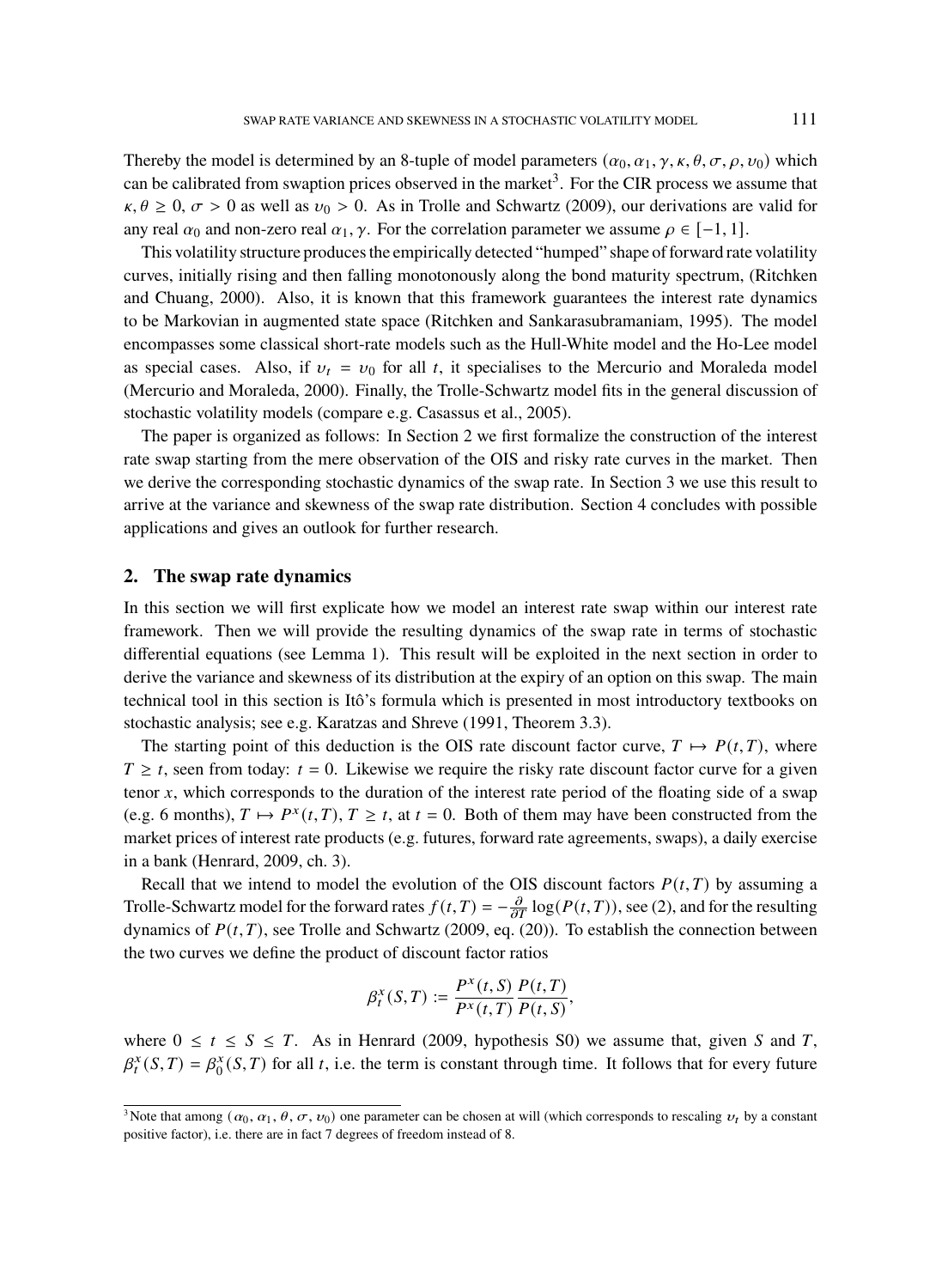Thereby the model is determined by an 8-tuple of model parameters  $(\alpha_0, \alpha_1, \gamma, \kappa, \theta, \sigma, \rho, \nu_0)$  which can be calibrated from swaption prices observed in the market<sup>3</sup>. For the CIR process we assume that  $\kappa, \theta \ge 0$ ,  $\sigma > 0$  as well as  $\nu_0 > 0$ . As in Trolle and Schwartz (2009), our derivations are valid for any real  $\alpha_0$  and non-zero real  $\alpha_1, \gamma$ . For the correlation parameter we assume  $\rho \in [-1, 1]$ .

This volatility structure produces the empirically detected "humped" shape of forward rate volatility curves, initially rising and then falling monotonously along the bond maturity spectrum, (Ritchken and Chuang, 2000). Also, it is known that this framework guarantees the interest rate dynamics to be Markovian in augmented state space (Ritchken and Sankarasubramaniam, 1995). The model encompasses some classical short-rate models such as the Hull-White model and the Ho-Lee model as special cases. Also, if  $v_t = v_0$  for all t, it specialises to the Mercurio and Moraleda model (Mercurio and Moraleda, 2000). Finally, the Trolle-Schwartz model fits in the general discussion of stochastic volatility models (compare e.g. Casassus et al., 2005).

The paper is organized as follows: In Section 2 we first formalize the construction of the interest rate swap starting from the mere observation of the OIS and risky rate curves in the market. Then we derive the corresponding stochastic dynamics of the swap rate. In Section 3 we use this result to arrive at the variance and skewness of the swap rate distribution. Section 4 concludes with possible applications and gives an outlook for further research.

## **2. The swap rate dynamics**

In this section we will first explicate how we model an interest rate swap within our interest rate framework. Then we will provide the resulting dynamics of the swap rate in terms of stochastic differential equations (see Lemma 1). This result will be exploited in the next section in order to derive the variance and skewness of its distribution at the expiry of an option on this swap. The main technical tool in this section is Itô's formula which is presented in most introductory textbooks on stochastic analysis; see e.g. Karatzas and Shreve (1991, Theorem 3.3).

The starting point of this deduction is the OIS rate discount factor curve,  $T \mapsto P(t, T)$ , where  $T \geq t$ , seen from today:  $t = 0$ . Likewise we require the risky rate discount factor curve for a given tenor  $x$ , which corresponds to the duration of the interest rate period of the floating side of a swap (e.g. 6 months),  $T \mapsto P^x(t,T)$ ,  $T \ge t$ , at  $t = 0$ . Both of them may have been constructed from the market prices of interest rate products (e.g. futures, forward rate agreements, swaps), a daily exercise in a bank (Henrard, 2009, ch. 3).

Recall that we intend to model the evolution of the OIS discount factors  $P(t, T)$  by assuming a Trolle-Schwartz model for the forward rates  $f(t, T) = -\frac{\partial}{\partial T} \log(P(t, T))$ , see (2), and for the resulting dynamics of  $P(t, T)$ , see Trolle and Schwartz (2009, eq. (20)). To establish the connection between the two curves we define the product of discount factor ratios

$$
\beta_t^x(S,T) := \frac{P^x(t,S)}{P^x(t,T)} \frac{P(t,T)}{P(t,S)},
$$

where  $0 \le t \le S \le T$ . As in Henrard (2009, hypothesis S0) we assume that, given S and T,  $\beta_t^x(S,T) = \beta_0^x(S,T)$  for all t, i.e. the term is constant through time. It follows that for every future

<sup>&</sup>lt;sup>3</sup>Note that among  $(\alpha_0, \alpha_1, \theta, \sigma, \nu_0)$  one parameter can be chosen at will (which corresponds to rescaling  $\nu_t$  by a constant positive factor), i.e. there are in fact 7 degrees of freedom instead of 8.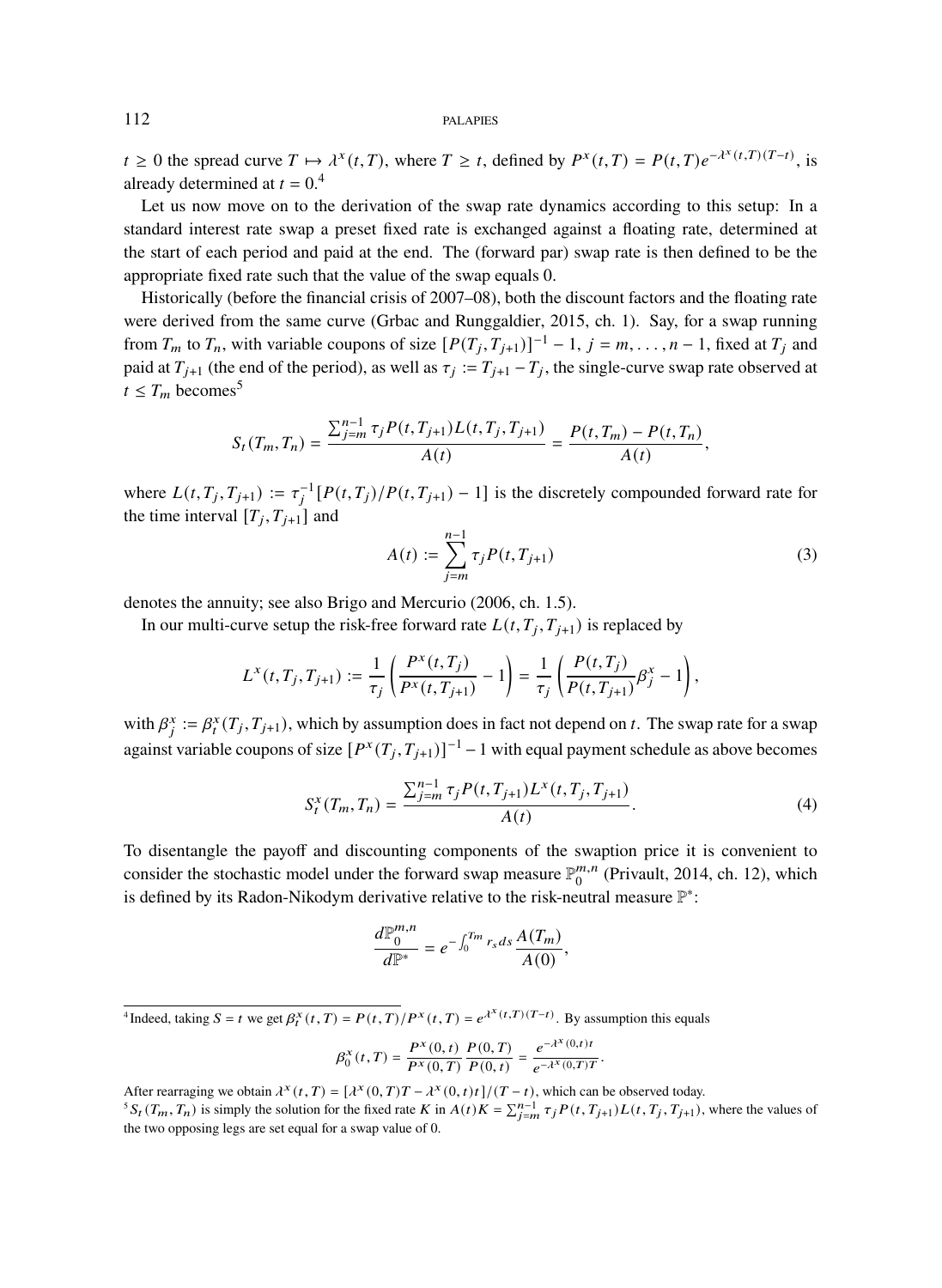$t \ge 0$  the spread curve  $T \mapsto \lambda^x(t,T)$ , where  $T \ge t$ , defined by  $P^x(t,T) = P(t,T)e^{-\lambda^x(t,T)(T-t)}$ , is already determined at  $t = 0.4$ 

Let us now move on to the derivation of the swap rate dynamics according to this setup: In a standard interest rate swap a preset fixed rate is exchanged against a floating rate, determined at the start of each period and paid at the end. The (forward par) swap rate is then defined to be the appropriate fixed rate such that the value of the swap equals 0.

Historically (before the financial crisis of 2007–08), both the discount factors and the floating rate were derived from the same curve (Grbac and Runggaldier, 2015, ch. 1). Say, for a swap running from  $T_m$  to  $T_n$ , with variable coupons of size  $[P(T_j, T_{j+1})]^{-1} - 1$ ,  $j = m, \ldots, n-1$ , fixed at  $T_j$  and paid at  $T_{j+1}$  (the end of the period), as well as  $\tau_j := T_{j+1} - T_j$ , the single-curve swap rate observed at  $t \leq T_m$  becomes<sup>5</sup>

$$
S_t(T_m,T_n) = \frac{\sum_{j=m}^{n-1} \tau_j P(t,T_{j+1}) L(t,T_j,T_{j+1})}{A(t)} = \frac{P(t,T_m) - P(t,T_n)}{A(t)},
$$

where  $L(t, T_j, T_{j+1}) := \tau_j^{-1} [P(t, T_j)/P(t, T_{j+1}) - 1]$  is the discretely compounded forward rate for the time interval  $[T_j, T_{j+1}]$  and

$$
A(t) := \sum_{j=m}^{n-1} \tau_j P(t, T_{j+1})
$$
\n(3)

denotes the annuity; see also Brigo and Mercurio (2006, ch. 1.5).

In our multi-curve setup the risk-free forward rate  $L(t, T_j, T_{j+1})$  is replaced by

$$
L^{x}(t, T_{j}, T_{j+1}) := \frac{1}{\tau_{j}} \left( \frac{P^{x}(t, T_{j})}{P^{x}(t, T_{j+1})} - 1 \right) = \frac{1}{\tau_{j}} \left( \frac{P(t, T_{j})}{P(t, T_{j+1})} \beta_{j}^{x} - 1 \right),
$$

with  $\beta_j^x := \beta_t^x(T_j, T_{j+1})$ , which by assumption does in fact not depend on t. The swap rate for a swap against variable coupons of size  $[P^x(T_j, T_{j+1})]^{-1} - 1$  with equal payment schedule as above becomes

$$
S_t^x(T_m, T_n) = \frac{\sum_{j=m}^{n-1} \tau_j P(t, T_{j+1}) L^x(t, T_j, T_{j+1})}{A(t)}.
$$
\n(4)

To disentangle the payoff and discounting components of the swaption price it is convenient to consider the stochastic model under the forward swap measure  $\mathbb{P}_0^{m,n}$  $_{0}^{m,n}$  (Privault, 2014, ch. 12), which is defined by its Radon-Nikodym derivative relative to the risk-neutral measure  $\mathbb{P}^*$ :

$$
\frac{d\mathbb{P}_0^{m,n}}{d\mathbb{P}^*}=e^{-\int_0^{T_m}r_s ds}\frac{A(T_m)}{A(0)},
$$

<sup>4</sup>Indeed, taking  $S = t$  we get  $\beta_t^X(t,T) = P(t,T)/P^X(t,T) = e^{\lambda^X(t,T)(T-t)}$ . By assumption this equals

$$
\beta_0^x(t,T) = \frac{P^x(0,t)}{P^x(0,T)} \frac{P(0,T)}{P(0,t)} = \frac{e^{-\lambda^x(0,t)t}}{e^{-\lambda^x(0,T) T}}.
$$

After rearraging we obtain  $\lambda^x(t,T) = [\lambda^x(0,T)T - \lambda^x(0,t)t]/(T-t)$ , which can be observed today.

<sup>&</sup>lt;sup>5</sup> $S_t(T_m, T_n)$  is simply the solution for the fixed rate K in  $A(t)K = \sum_{j=m}^{n-1} \tau_j P(t, T_{j+1}) L(t, T_j, T_{j+1})$ , where the values of the two opposing legs are set equal for a swap value of 0.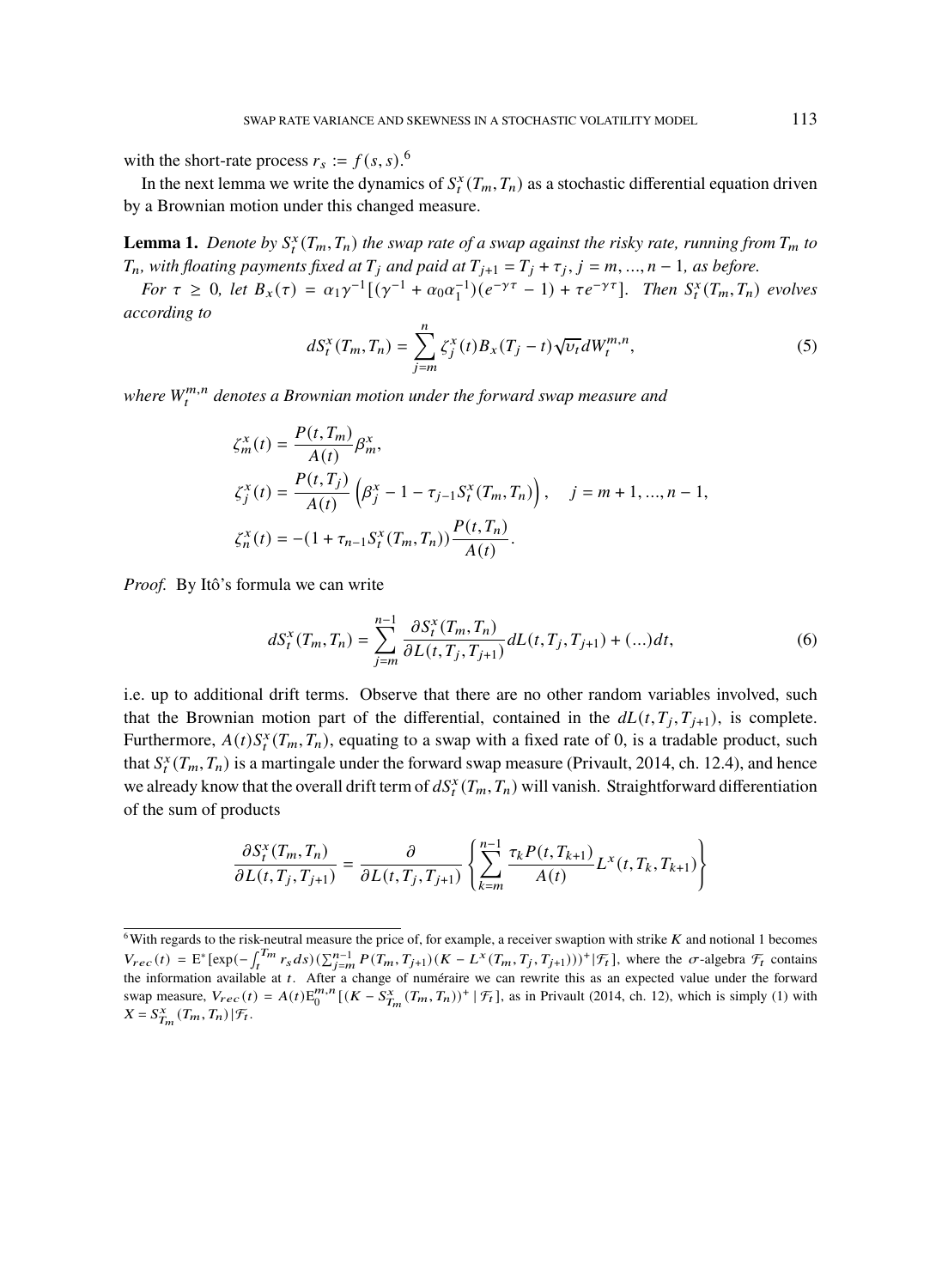with the short-rate process  $r_s := f(s, s)$ .<sup>6</sup>

In the next lemma we write the dynamics of  $S_t^x(T_m, T_n)$  as a stochastic differential equation driven by a Brownian motion under this changed measure.

**Lemma 1.** Denote by  $S_t^x(T_m, T_n)$  the swap rate of a swap against the risky rate, running from  $T_m$  to  $T_n$ , with floating payments fixed at  $T_j$  and paid at  $T_{j+1} = T_j + \tau_j$ ,  $j = m, ..., n-1$ , as before.

*For*  $\tau \geq 0$ , let  $B_x(\tau) = \alpha_1 \gamma^{-1} [(\gamma^{-1} + \alpha_0 \alpha_1^{-1})(e^{-\gamma \tau} - 1) + \tau e^{-\gamma \tau}]$ . Then  $S_t^x(T_m, T_n)$  evolves *according to*

$$
dS_t^x(T_m, T_n) = \sum_{j=m}^n \zeta_j^x(t) B_x(T_j - t) \sqrt{\nu_t} dW_t^{m,n}, \qquad (5)
$$

where  $W_t^{m,n}$  denotes a Brownian motion under the forward swap measure and

$$
\zeta_m^x(t) = \frac{P(t, T_m)}{A(t)} \beta_m^x,
$$
  
\n
$$
\zeta_j^x(t) = \frac{P(t, T_j)}{A(t)} \left( \beta_j^x - 1 - \tau_{j-1} S_i^x(T_m, T_n) \right), \quad j = m + 1, ..., n - 1,
$$
  
\n
$$
\zeta_n^x(t) = -(1 + \tau_{n-1} S_i^x(T_m, T_n)) \frac{P(t, T_n)}{A(t)}.
$$

*Proof.* By Itô's formula we can write

$$
dS_t^x(T_m, T_n) = \sum_{j=m}^{n-1} \frac{\partial S_t^x(T_m, T_n)}{\partial L(t, T_j, T_{j+1})} dL(t, T_j, T_{j+1}) + (\dots) dt,\tag{6}
$$

i.e. up to additional drift terms. Observe that there are no other random variables involved, such that the Brownian motion part of the differential, contained in the  $dL(t, T_j, T_{j+1})$ , is complete. Furthermore,  $A(t)S_t^x(T_m, T_n)$ , equating to a swap with a fixed rate of 0, is a tradable product, such that  $S_t^x(T_m, T_n)$  is a martingale under the forward swap measure (Privault, 2014, ch. 12.4), and hence we already know that the overall drift term of  $dS_t^x(T_m, T_n)$  will vanish. Straightforward differentiation of the sum of products

$$
\frac{\partial S_t^x(T_m, T_n)}{\partial L(t, T_j, T_{j+1})} = \frac{\partial}{\partial L(t, T_j, T_{j+1})} \left\{ \sum_{k=m}^{n-1} \frac{\tau_k P(t, T_{k+1})}{A(t)} L^x(t, T_k, T_{k+1}) \right\}
$$

 $6$ With regards to the risk-neutral measure the price of, for example, a receiver swaption with strike  $K$  and notional 1 becomes  $V_{rec}(t) = E^* [\exp(-\int_t^{T_m} r_s ds) (\sum_{j=m}^{n-1} P(T_m, T_{j+1})(K - L^x(T_m, T_j, T_{j+1}))^+] \mathcal{F}_t]$ , where the  $\sigma$ -algebra  $\mathcal{F}_t$  contains the information available at t. After a change of numéraire we can rewrite this as an expected value un swap measure,  $V_{rec}(t) = A(t) E_0^{m,n} [(K - S_{T_m}^x(T_m, T_n))^+ | \mathcal{F}_t]$ , as in Privault (2014, ch. 12), which is simply (1) with  $X = S_{T_m}^x(T_m, T_n) | \mathcal{F}_t.$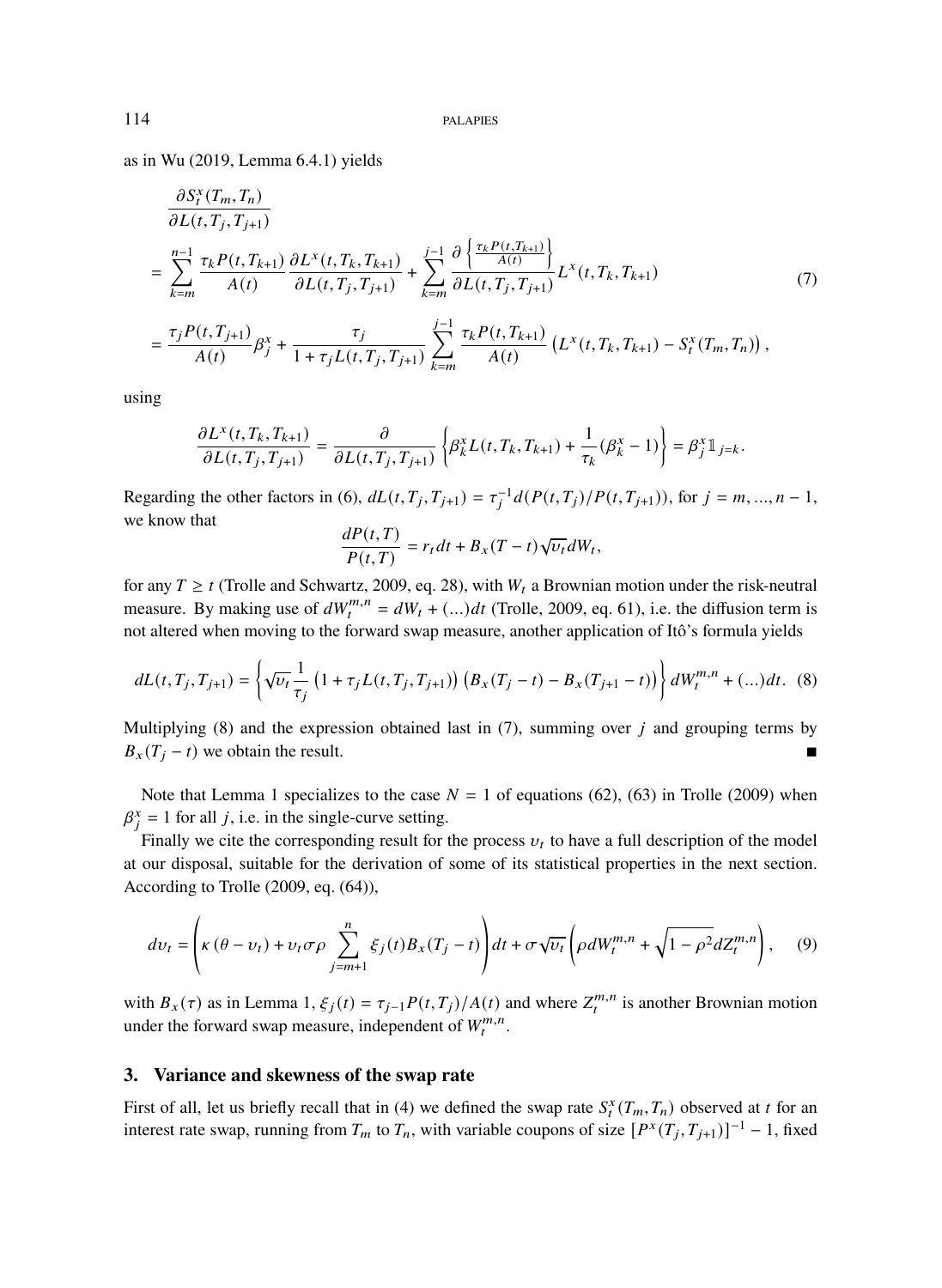as in Wu (2019, Lemma 6.4.1) yields

$$
\frac{\partial S_t^x(T_m, T_n)}{\partial L(t, T_j, T_{j+1})} = \sum_{k=m}^{n-1} \frac{\tau_k P(t, T_{k+1})}{A(t)} \frac{\partial L^x(t, T_k, T_{k+1})}{\partial L(t, T_j, T_{j+1})} + \sum_{k=m}^{j-1} \frac{\partial \left\{ \frac{\tau_k P(t, T_{k+1})}{A(t)} \right\}}{\partial L(t, T_j, T_{j+1})} L^x(t, T_k, T_{k+1})
$$
\n
$$
= \frac{\tau_j P(t, T_{j+1})}{A(t)} \beta_j^x + \frac{\tau_j}{1 + \tau_j L(t, T_j, T_{j+1})} \sum_{k=m}^{j-1} \frac{\tau_k P(t, T_{k+1})}{A(t)} \left( L^x(t, T_k, T_{k+1}) - S_t^x(T_m, T_n) \right),
$$
\n(7)

using

$$
\frac{\partial L^x(t, T_k, T_{k+1})}{\partial L(t, T_j, T_{j+1})} = \frac{\partial}{\partial L(t, T_j, T_{j+1})} \left\{ \beta_k^x L(t, T_k, T_{k+1}) + \frac{1}{\tau_k} (\beta_k^x - 1) \right\} = \beta_j^x 1\!\!1_{j=k}.
$$

Regarding the other factors in (6),  $dL(t, T_j, T_{j+1}) = \tau_j^{-1} d(P(t, T_j)/P(t, T_{j+1}))$ , for  $j = m, ..., n - 1$ , we know that

$$
\frac{dP(t,T)}{P(t,T)} = r_t dt + B_x (T-t) \sqrt{\nu_t} dW_t,
$$

for any  $T \ge t$  (Trolle and Schwartz, 2009, eq. 28), with  $W_t$  a Brownian motion under the risk-neutral measure. By making use of  $dW_t^{m,n} = dW_t + (dA_t)^2$  (Trolle, 2009, eq. 61), i.e. the diffusion term is not altered when moving to the forward swap measure, another application of Itô's formula yields

$$
dL(t, T_j, T_{j+1}) = \left\{ \sqrt{\nu_t} \frac{1}{\tau_j} \left( 1 + \tau_j L(t, T_j, T_{j+1}) \right) \left( B_x(T_j - t) - B_x(T_{j+1} - t) \right) \right\} dW_t^{m,n} + (\dots) dt. \tag{8}
$$

Multiplying (8) and the expression obtained last in (7), summing over  $\dot{i}$  and grouping terms by  $B_x(T_i - t)$  we obtain the result.

Note that Lemma 1 specializes to the case  $N = 1$  of equations (62), (63) in Trolle (2009) when  $\beta_j^x = 1$  for all j, i.e. in the single-curve setting.

Finally we cite the corresponding result for the process  $v_t$  to have a full description of the model at our disposal, suitable for the derivation of some of its statistical properties in the next section. According to Trolle (2009, eq. (64)),

$$
dv_t = \left(\kappa \left(\theta - v_t\right) + v_t \sigma \rho \sum_{j=m+1}^n \xi_j(t) B_x(T_j - t)\right) dt + \sigma \sqrt{v_t} \left(\rho dW_t^{m,n} + \sqrt{1 - \rho^2} dZ_t^{m,n}\right),\tag{9}
$$

with  $B_x(\tau)$  as in Lemma 1,  $\xi_j(t) = \tau_{j-1} P(t, T_j)/A(t)$  and where  $Z_t^{m,n}$  is another Brownian motion under the forward swap measure, independent of  $W_t^{m,n}$ .

## **3. Variance and skewness of the swap rate**

First of all, let us briefly recall that in (4) we defined the swap rate  $S_t^x(T_m, T_n)$  observed at t for an interest rate swap, running from  $T_m$  to  $T_n$ , with variable coupons of size  $[P^x(T_j, T_{j+1})]^{-1} - 1$ , fixed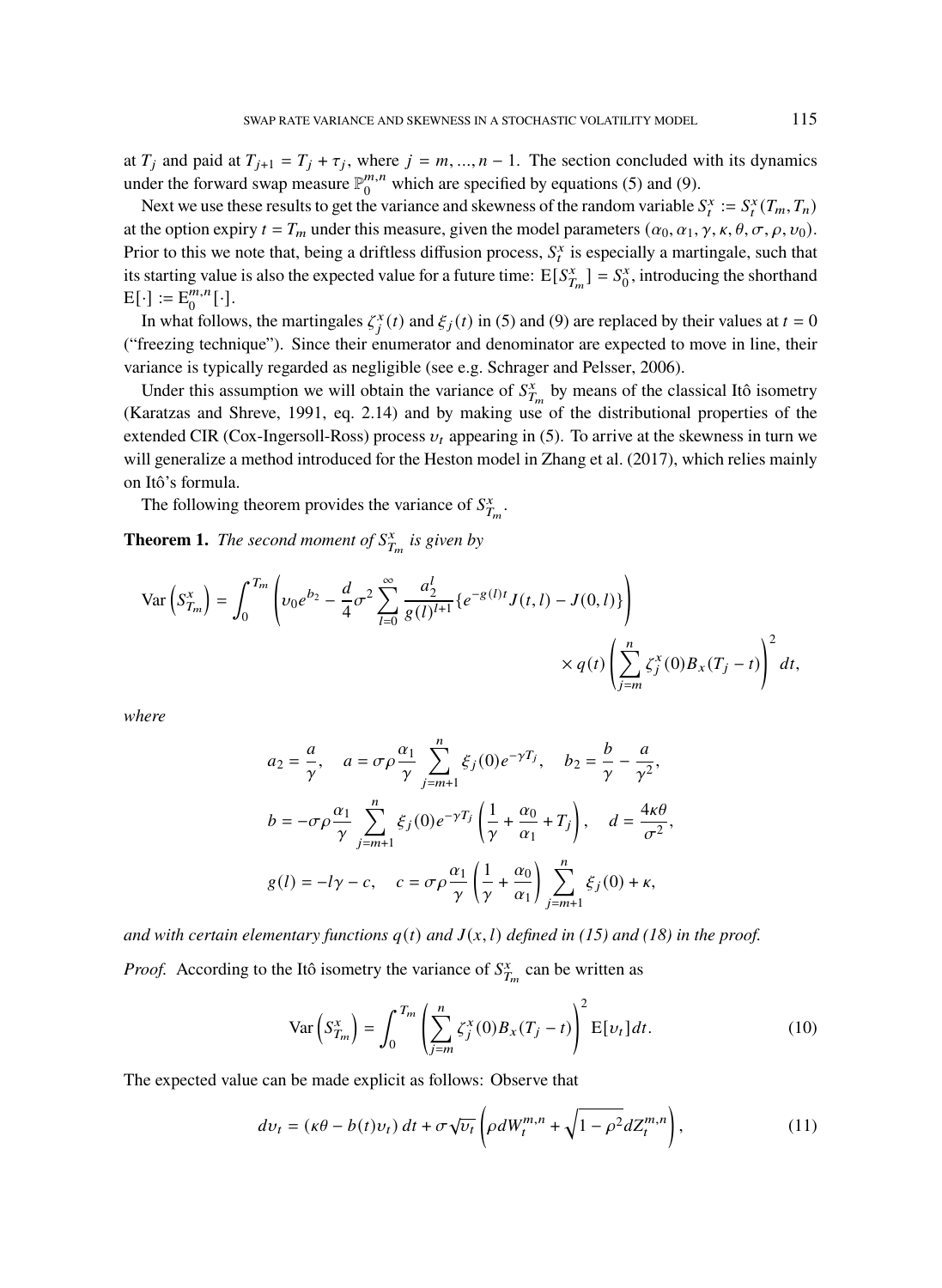at  $T_j$  and paid at  $T_{j+1} = T_j + \tau_j$ , where  $j = m, ..., n-1$ . The section concluded with its dynamics under the forward swap measure  $\mathbb{P}_0^{m,n}$  $_{0}^{m,n}$  which are specified by equations (5) and (9).

Next we use these results to get the variance and skewness of the random variable  $S_t^x := S_t^x(T_m, T_n)$ at the option expiry  $t = T_m$  under this measure, given the model parameters  $(\alpha_0, \alpha_1, \gamma, \kappa, \theta, \sigma, \rho, \nu_0)$ . Prior to this we note that, being a driftless diffusion process,  $S_t^x$  is especially a martingale, such that its starting value is also the expected value for a future time:  $E[S_{T_m}^x] = S_0^x$ , introducing the shorthand  $E[\cdot] := E_0^{m,n}$  $_{0}^{m,n}[\cdot].$ 

In what follows, the martingales  $\zeta_j^x(t)$  and  $\zeta_j(t)$  in (5) and (9) are replaced by their values at  $t = 0$ ("freezing technique"). Since their enumerator and denominator are expected to move in line, their variance is typically regarded as negligible (see e.g. Schrager and Pelsser, 2006).

Under this assumption we will obtain the variance of  $S_{T_m}^x$  by means of the classical Itô isometry (Karatzas and Shreve, 1991, eq. 2.14) and by making use of the distributional properties of the extended CIR (Cox-Ingersoll-Ross) process  $v_t$  appearing in (5). To arrive at the skewness in turn we will generalize a method introduced for the Heston model in Zhang et al. (2017), which relies mainly on Itô's formula.

The following theorem provides the variance of  $S_{T_m}^x$ .

**Theorem 1.** *The second moment of*  $S_{T_m}^x$  *is given by* 

$$
\operatorname{Var}\left(S_{T_m}^x\right) = \int_0^{T_m} \left( v_0 e^{b_2} - \frac{d}{4} \sigma^2 \sum_{l=0}^{\infty} \frac{a_2^l}{g(l)^{l+1}} \left\{ e^{-g(l)t} J(t, l) - J(0, l) \right\} \right) \times q(t) \left( \sum_{j=m}^n \zeta_j^x(0) B_x(T_j - t) \right)^2 dt,
$$

*where*

$$
a_2 = \frac{a}{\gamma}, \quad a = \sigma \rho \frac{\alpha_1}{\gamma} \sum_{j=m+1}^n \xi_j(0) e^{-\gamma T_j}, \quad b_2 = \frac{b}{\gamma} - \frac{a}{\gamma^2},
$$
  

$$
b = -\sigma \rho \frac{\alpha_1}{\gamma} \sum_{j=m+1}^n \xi_j(0) e^{-\gamma T_j} \left(\frac{1}{\gamma} + \frac{\alpha_0}{\alpha_1} + T_j\right), \quad d = \frac{4\kappa \theta}{\sigma^2},
$$
  

$$
g(l) = -l\gamma - c, \quad c = \sigma \rho \frac{\alpha_1}{\gamma} \left(\frac{1}{\gamma} + \frac{\alpha_0}{\alpha_1}\right) \sum_{j=m+1}^n \xi_j(0) + \kappa,
$$

*and with certain elementary functions*  $q(t)$  *and*  $J(x, l)$  *defined in* (15) *and* (18) *in the proof. Proof.* According to the Itô isometry the variance of  $S_{T_m}^x$  can be written as

$$
\text{Var}\left(S_{T_m}^x\right) = \int_0^{T_m} \left(\sum_{j=m}^n \zeta_j^x(0) B_x(T_j - t)\right)^2 \text{E}[v_t] dt. \tag{10}
$$

The expected value can be made explicit as follows: Observe that

$$
dv_t = (\kappa \theta - b(t)v_t) dt + \sigma \sqrt{v_t} \left( \rho dW_t^{m,n} + \sqrt{1 - \rho^2} dZ_t^{m,n} \right),\tag{11}
$$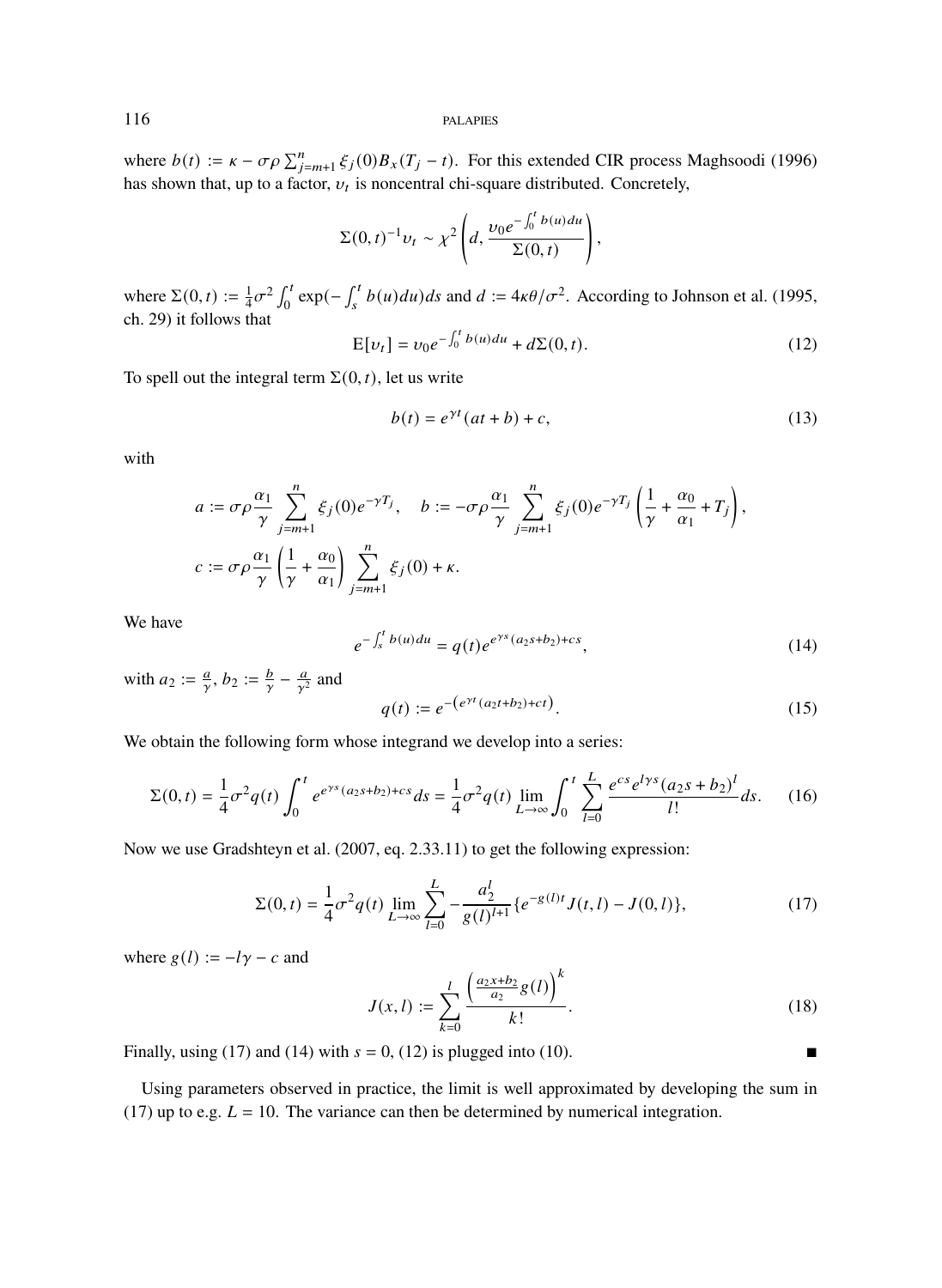where  $b(t) := \kappa - \sigma \rho \sum_{j=m+1}^{n} \xi_j(0) B_x(T_j - t)$ . For this extended CIR process Maghsoodi (1996) has shown that, up to a factor,  $v_t$  is noncentral chi-square distributed. Concretely,

$$
\Sigma(0,t)^{-1}v_t \sim \chi^2 \left(d, \frac{v_0 e^{-\int_0^t b(u) du}}{\Sigma(0,t)}\right),
$$

where  $\Sigma(0, t) := \frac{1}{4}\sigma^2 \int_0^t \exp(-\int_s^t b(u)du)ds$  and  $d := 4\kappa\theta/\sigma^2$ . According to Johnson et al. (1995, ch. 29) it follows that

$$
E[v_t] = v_0 e^{-\int_0^t b(u) du} + d\Sigma(0, t).
$$
 (12)

To spell out the integral term  $\Sigma(0, t)$ , let us write

$$
b(t) = e^{\gamma t} (at + b) + c,\tag{13}
$$

with

$$
a := \sigma \rho \frac{\alpha_1}{\gamma} \sum_{j=m+1}^n \xi_j(0) e^{-\gamma T_j}, \quad b := -\sigma \rho \frac{\alpha_1}{\gamma} \sum_{j=m+1}^n \xi_j(0) e^{-\gamma T_j} \left( \frac{1}{\gamma} + \frac{\alpha_0}{\alpha_1} + T_j \right),
$$
  

$$
c := \sigma \rho \frac{\alpha_1}{\gamma} \left( \frac{1}{\gamma} + \frac{\alpha_0}{\alpha_1} \right) \sum_{j=m+1}^n \xi_j(0) + \kappa.
$$

We have

$$
e^{-\int_{s}^{t} b(u)du} = q(t)e^{e^{\gamma s}(a_2s + b_2) + cs}, \qquad (14)
$$

with  $a_2 := \frac{a}{\gamma}, b_2 := \frac{b}{\gamma} - \frac{a}{\gamma^2}$  $\frac{a}{\gamma^2}$  and

$$
q(t) := e^{-\left(e^{\gamma t}(a_2 t + b_2) + ct\right)}.
$$
\n(15)

We obtain the following form whose integrand we develop into a series:

$$
\Sigma(0,t) = \frac{1}{4}\sigma^2 q(t) \int_0^t e^{e^{ys}(a_2s+b_2)+cs} ds = \frac{1}{4}\sigma^2 q(t) \lim_{L \to \infty} \int_0^t \sum_{l=0}^L \frac{e^{cs} e^{lys}(a_2s+b_2)^l}{l!} ds. \tag{16}
$$

Now we use Gradshteyn et al. (2007, eq. 2.33.11) to get the following expression:

$$
\Sigma(0,t) = \frac{1}{4}\sigma^2 q(t) \lim_{L \to \infty} \sum_{l=0}^{L} -\frac{a_2^l}{g(l)^{l+1}} \{e^{-g(l)t} J(t,l) - J(0,l)\},\tag{17}
$$

where  $g(l) := -l\gamma - c$  and

$$
J(x,l) := \sum_{k=0}^{l} \frac{\left(\frac{a_2 x + b_2}{a_2} g(l)\right)^k}{k!}.
$$
 (18)

Finally, using (17) and (14) with  $s = 0$ , (12) is plugged into (10).

Using parameters observed in practice, the limit is well approximated by developing the sum in (17) up to e.g.  $L = 10$ . The variance can then be determined by numerical integration.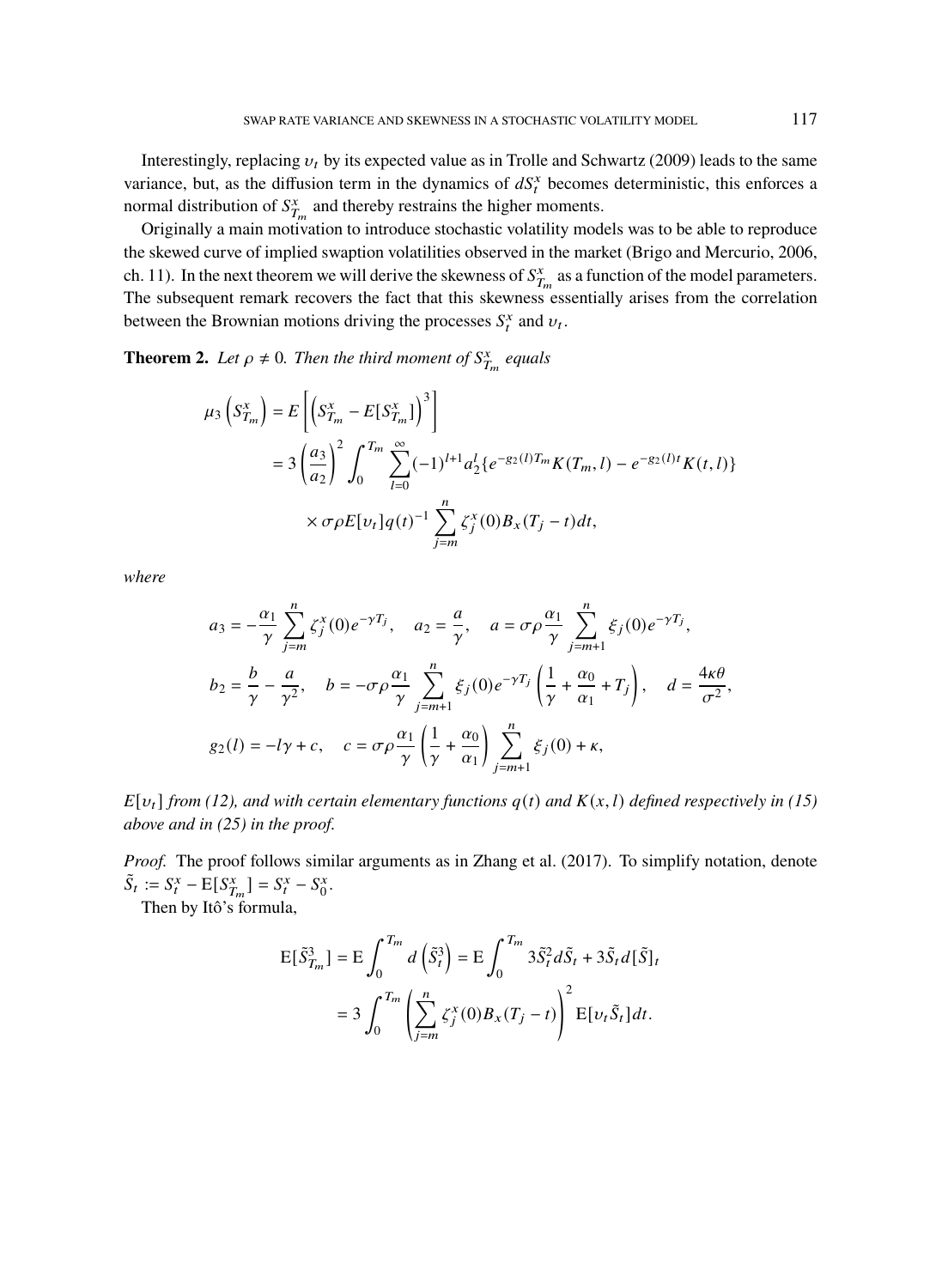Interestingly, replacing  $v_t$  by its expected value as in Trolle and Schwartz (2009) leads to the same variance, but, as the diffusion term in the dynamics of  $dS_t^x$  becomes deterministic, this enforces a normal distribution of  $S_{T_m}^x$  and thereby restrains the higher moments.

Originally a main motivation to introduce stochastic volatility models was to be able to reproduce the skewed curve of implied swaption volatilities observed in the market (Brigo and Mercurio, 2006, ch. 11). In the next theorem we will derive the skewness of  $S_{T_m}^x$  as a function of the model parameters. The subsequent remark recovers the fact that this skewness essentially arises from the correlation between the Brownian motions driving the processes  $S_t^x$  and  $v_t$ .

**Theorem 2.** Let  $\rho \neq 0$ . Then the third moment of  $S_{T_m}^x$  equals

$$
\mu_3 \left( S_{T_m}^x \right) = E \left[ \left( S_{T_m}^x - E[S_{T_m}^x] \right)^3 \right]
$$
  
=  $3 \left( \frac{a_3}{a_2} \right)^2 \int_0^{T_m} \sum_{l=0}^{\infty} (-1)^{l+1} a_2^l \{ e^{-g_2(l)T_m} K(T_m, l) - e^{-g_2(l)t} K(t, l) \}$   
 $\times \sigma \rho E[v_t] q(t)^{-1} \sum_{j=m}^n \zeta_j^x(0) B_x(T_j - t) dt,$ 

*where*

$$
a_3 = -\frac{\alpha_1}{\gamma} \sum_{j=m}^n \zeta_j^x(0) e^{-\gamma T_j}, \quad a_2 = \frac{a}{\gamma}, \quad a = \sigma \rho \frac{\alpha_1}{\gamma} \sum_{j=m+1}^n \zeta_j(0) e^{-\gamma T_j},
$$
  
\n
$$
b_2 = \frac{b}{\gamma} - \frac{a}{\gamma^2}, \quad b = -\sigma \rho \frac{\alpha_1}{\gamma} \sum_{j=m+1}^n \zeta_j(0) e^{-\gamma T_j} \left(\frac{1}{\gamma} + \frac{\alpha_0}{\alpha_1} + T_j\right), \quad d = \frac{4\kappa \theta}{\sigma^2},
$$
  
\n
$$
g_2(l) = -l\gamma + c, \quad c = \sigma \rho \frac{\alpha_1}{\gamma} \left(\frac{1}{\gamma} + \frac{\alpha_0}{\alpha_1}\right) \sum_{j=m+1}^n \zeta_j(0) + \kappa,
$$

 $E[v_t]$  *from* (12), and with certain elementary functions  $q(t)$  and  $K(x, l)$  defined respectively in (15) *above and in (25) in the proof.*

*Proof.* The proof follows similar arguments as in Zhang et al. (2017). To simplify notation, denote  $\tilde{S}_t := S_t^x - E[S_{T_m}^x] = S_t^x - S_0^x.$ 

Then by Itô's formula,

$$
E[\tilde{S}_{T_m}^3] = E \int_0^{T_m} d\left(\tilde{S}_t^3\right) = E \int_0^{T_m} 3\tilde{S}_t^2 d\tilde{S}_t + 3\tilde{S}_t d[\tilde{S}]_t
$$

$$
= 3 \int_0^{T_m} \left(\sum_{j=m}^n \zeta_j^x(0) B_x(T_j - t)\right)^2 E[\nu_t \tilde{S}_t] dt.
$$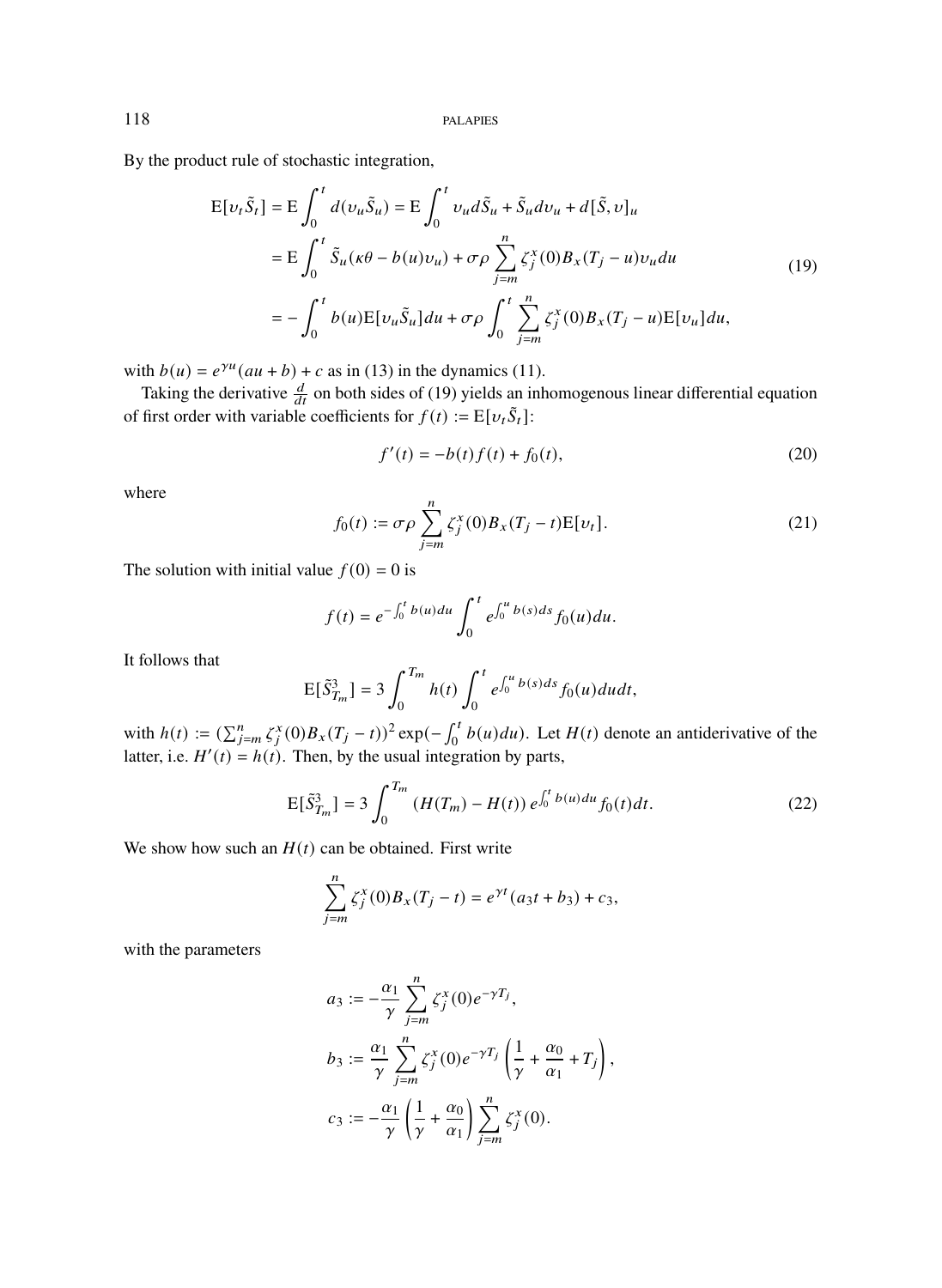By the product rule of stochastic integration,

$$
E[\nu_t \tilde{S}_t] = E \int_0^t d(\nu_u \tilde{S}_u) = E \int_0^t \nu_u d\tilde{S}_u + \tilde{S}_u d\nu_u + d[\tilde{S}, \nu]_u
$$
  
\n
$$
= E \int_0^t \tilde{S}_u(\kappa \theta - b(u)\nu_u) + \sigma \rho \sum_{j=m}^n \zeta_j^x(0) B_x(T_j - u)\nu_u du
$$
  
\n
$$
= - \int_0^t b(u) E[\nu_u \tilde{S}_u] du + \sigma \rho \int_0^t \sum_{j=m}^n \zeta_j^x(0) B_x(T_j - u) E[\nu_u] du,
$$
\n(19)

with  $b(u) = e^{\gamma u} (au + b) + c$  as in (13) in the dynamics (11).

Taking the derivative  $\frac{d}{dt}$  on both sides of (19) yields an inhomogenous linear differential equation of first order with variable coefficients for  $f(t) := E[v_t \tilde{S}_t]$ :

$$
f'(t) = -b(t)f(t) + f_0(t),
$$
\n(20)

where

$$
f_0(t) := \sigma \rho \sum_{j=m}^{n} \zeta_j^x(0) B_x(T_j - t) E[\nu_t].
$$
 (21)

The solution with initial value  $f(0) = 0$  is

$$
f(t) = e^{-\int_0^t b(u) du} \int_0^t e^{\int_0^u b(s) ds} f_0(u) du.
$$

It follows that

$$
E[\tilde{S}_{T_m}^3] = 3 \int_0^{T_m} h(t) \int_0^t e^{\int_0^u b(s)ds} f_0(u) du dt,
$$

with  $h(t) := (\sum_{j=m}^{n} \zeta_j^x(0) B_x(T_j - t))^2 \exp(-\int_0^t b(u) du)$ . Let  $H(t)$  denote an antiderivative of the latter, i.e.  $H'(t) = h(t)$ . Then, by the usual integration by parts,

$$
E[\tilde{S}_{T_m}^3] = 3 \int_0^{T_m} \left( H(T_m) - H(t) \right) e^{\int_0^t b(u) du} f_0(t) dt.
$$
 (22)

We show how such an  $H(t)$  can be obtained. First write

$$
\sum_{j=m}^{n} \zeta_j^x(0) B_x(T_j - t) = e^{\gamma t} (a_3 t + b_3) + c_3,
$$

with the parameters

$$
a_3 := -\frac{\alpha_1}{\gamma} \sum_{j=m}^n \zeta_j^x(0) e^{-\gamma T_j},
$$
  
\n
$$
b_3 := \frac{\alpha_1}{\gamma} \sum_{j=m}^n \zeta_j^x(0) e^{-\gamma T_j} \left( \frac{1}{\gamma} + \frac{\alpha_0}{\alpha_1} + T_j \right),
$$
  
\n
$$
c_3 := -\frac{\alpha_1}{\gamma} \left( \frac{1}{\gamma} + \frac{\alpha_0}{\alpha_1} \right) \sum_{j=m}^n \zeta_j^x(0).
$$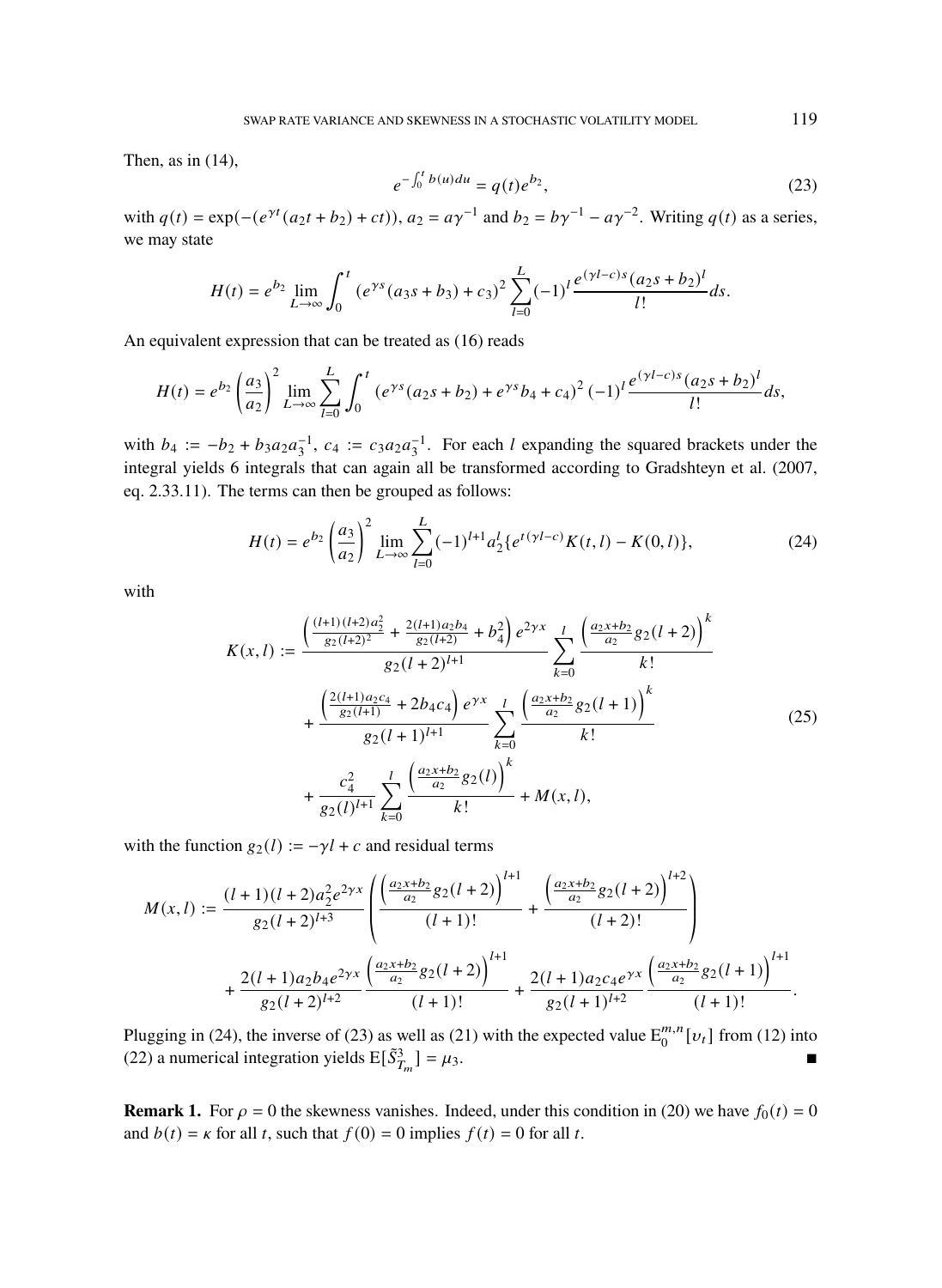Then, as in (14),

$$
e^{-\int_0^t b(u)du} = q(t)e^{b_2},
$$
\n(23)

with  $q(t) = \exp(-(e^{\gamma t}(a_2 t + b_2) + ct))$ ,  $a_2 = a\gamma^{-1}$  and  $b_2 = b\gamma^{-1} - a\gamma^{-2}$ . Writing  $q(t)$  as a series, we may state

$$
H(t) = e^{b_2} \lim_{L \to \infty} \int_0^t \left( e^{\gamma s} (a_3 s + b_3) + c_3 \right)^2 \sum_{l=0}^L (-1)^l \frac{e^{(\gamma l - c)s} (a_2 s + b_2)^l}{l!} ds.
$$

An equivalent expression that can be treated as (16) reads

$$
H(t) = e^{b_2} \left(\frac{a_3}{a_2}\right)^2 \lim_{L \to \infty} \sum_{l=0}^{L} \int_0^t \left(e^{\gamma s} (a_2 s + b_2) + e^{\gamma s} b_4 + c_4\right)^2 (-1)^l \frac{e^{(\gamma l - c)s} (a_2 s + b_2)^l}{l!} ds,
$$

with  $b_4 := -b_2 + b_3 a_2 a_3^{-1}$ ,  $c_4 := c_3 a_2 a_3^{-1}$ . For each l expanding the squared brackets under the integral yields 6 integrals that can again all be transformed according to Gradshteyn et al. (2007, eq. 2.33.11). The terms can then be grouped as follows:

$$
H(t) = e^{b_2} \left(\frac{a_3}{a_2}\right)^2 \lim_{L \to \infty} \sum_{l=0}^{L} (-1)^{l+1} a_2^l \{e^{t(\gamma l - c)} K(t, l) - K(0, l)\},\tag{24}
$$

with

$$
K(x, l) := \frac{\left(\frac{(l+1)(l+2)a_2^2}{g_2(l+2)^2} + \frac{2(l+1)a_2b_4}{g_2(l+2)} + b_4^2\right)e^{2\gamma x}}{g_2(l+2)^{l+1}} \sum_{k=0}^l \frac{\left(\frac{a_2x+b_2}{a_2}g_2(l+2)\right)^k}{k!} + \frac{\left(\frac{2(l+1)a_2c_4}{g_2(l+1)} + 2b_4c_4\right)e^{\gamma x}}{g_2(l+1)^{l+1}} \sum_{k=0}^l \frac{\left(\frac{a_2x+b_2}{a_2}g_2(l+1)\right)^k}{k!} + \frac{c_4^2}{g_2(l)^{l+1}} \sum_{k=0}^l \frac{\left(\frac{a_2x+b_2}{a_2}g_2(l)\right)^k}{k!} + M(x, l),
$$
\n(25)

with the function  $g_2(l) := -\gamma l + c$  and residual terms

$$
M(x,l) := \frac{(l+1)(l+2)a_2^2e^{2\gamma x}}{g_2(l+2)^{l+3}} \left( \frac{\left(\frac{a_2x+b_2}{a_2}g_2(l+2)\right)^{l+1}}{(l+1)!} + \frac{\left(\frac{a_2x+b_2}{a_2}g_2(l+2)\right)^{l+2}}{(l+2)!} \right) + \frac{2(l+1)a_2b_4e^{2\gamma x}}{g_2(l+2)^{l+2}} \frac{\left(\frac{a_2x+b_2}{a_2}g_2(l+2)\right)^{l+1}}{(l+1)!} + \frac{2(l+1)a_2c_4e^{\gamma x}}{g_2(l+1)^{l+2}} \frac{\left(\frac{a_2x+b_2}{a_2}g_2(l+1)\right)^{l+1}}{(l+1)!}.
$$

Plugging in (24), the inverse of (23) as well as (21) with the expected value  $E_0^{m,n}[v_t]$  from (12) into (22) a numerical integration yields  $E[\tilde{S}_{T_m}^3] = \mu_3$ .

**Remark 1.** For  $\rho = 0$  the skewness vanishes. Indeed, under this condition in (20) we have  $f_0(t) = 0$ and  $b(t) = \kappa$  for all t, such that  $f(0) = 0$  implies  $f(t) = 0$  for all t.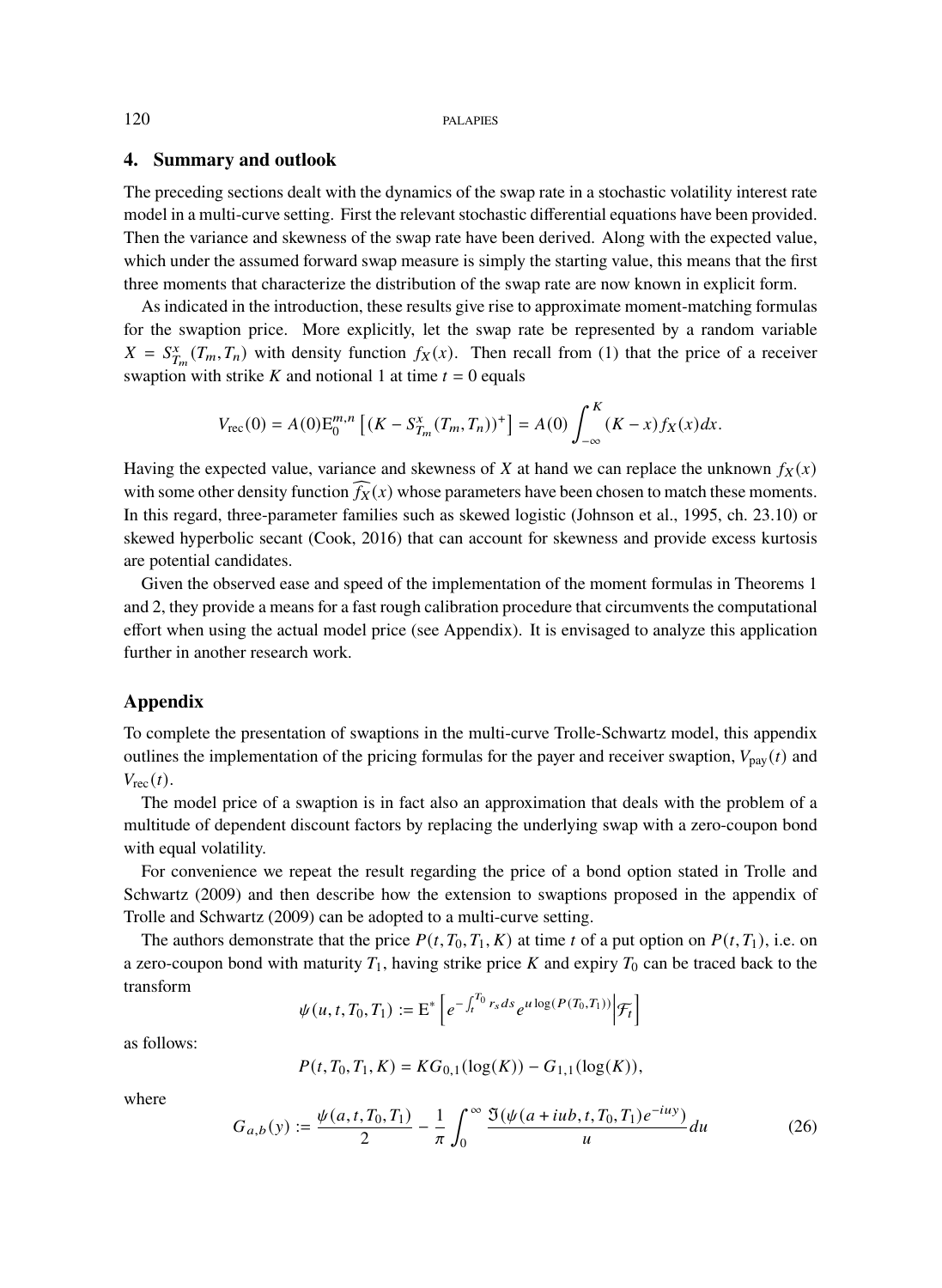## **4. Summary and outlook**

The preceding sections dealt with the dynamics of the swap rate in a stochastic volatility interest rate model in a multi-curve setting. First the relevant stochastic differential equations have been provided. Then the variance and skewness of the swap rate have been derived. Along with the expected value, which under the assumed forward swap measure is simply the starting value, this means that the first three moments that characterize the distribution of the swap rate are now known in explicit form.

As indicated in the introduction, these results give rise to approximate moment-matching formulas for the swaption price. More explicitly, let the swap rate be represented by a random variable  $X = S_{T_m}^x(T_m, T_n)$  with density function  $f_X(x)$ . Then recall from (1) that the price of a receiver swaption with strike K and notional 1 at time  $t = 0$  equals

$$
V_{\rm rec}(0) = A(0) E_0^{m,n} \left[ (K - S_{T_m}^x(T_m, T_n))^+ \right] = A(0) \int_{-\infty}^K (K - x) f_X(x) dx.
$$

Having the expected value, variance and skewness of X at hand we can replace the unknown  $f_X(x)$ with some other density function  $f_X(x)$  whose parameters have been chosen to match these moments. In this regard, three-parameter families such as skewed logistic (Johnson et al., 1995, ch. 23.10) or skewed hyperbolic secant (Cook, 2016) that can account for skewness and provide excess kurtosis are potential candidates.

Given the observed ease and speed of the implementation of the moment formulas in Theorems 1 and 2, they provide a means for a fast rough calibration procedure that circumvents the computational effort when using the actual model price (see Appendix). It is envisaged to analyze this application further in another research work.

## **Appendix**

To complete the presentation of swaptions in the multi-curve Trolle-Schwartz model, this appendix outlines the implementation of the pricing formulas for the payer and receiver swaption,  $V_{\text{pay}}(t)$  and  $V_{\text{rec}}(t)$ .

The model price of a swaption is in fact also an approximation that deals with the problem of a multitude of dependent discount factors by replacing the underlying swap with a zero-coupon bond with equal volatility.

For convenience we repeat the result regarding the price of a bond option stated in Trolle and Schwartz (2009) and then describe how the extension to swaptions proposed in the appendix of Trolle and Schwartz (2009) can be adopted to a multi-curve setting.

The authors demonstrate that the price  $P(t, T_0, T_1, K)$  at time t of a put option on  $P(t, T_1)$ , i.e. on a zero-coupon bond with maturity  $T_1$ , having strike price K and expiry  $T_0$  can be traced back to the transform

$$
\psi(u, t, T_0, T_1) := \mathrm{E}^* \left[ e^{-\int_t^{T_0} r_s ds} e^{u \log(P(T_0, T_1))} \Big| \mathcal{F}_t \right]
$$

as follows:

$$
P(t, T_0, T_1, K) = KG_{0,1}(\log(K)) - G_{1,1}(\log(K)),
$$

where

$$
G_{a,b}(y) := \frac{\psi(a,t,T_0,T_1)}{2} - \frac{1}{\pi} \int_0^\infty \frac{\mathfrak{I}(\psi(a+iu b,t,T_0,T_1) e^{-iu y})}{u} du \tag{26}
$$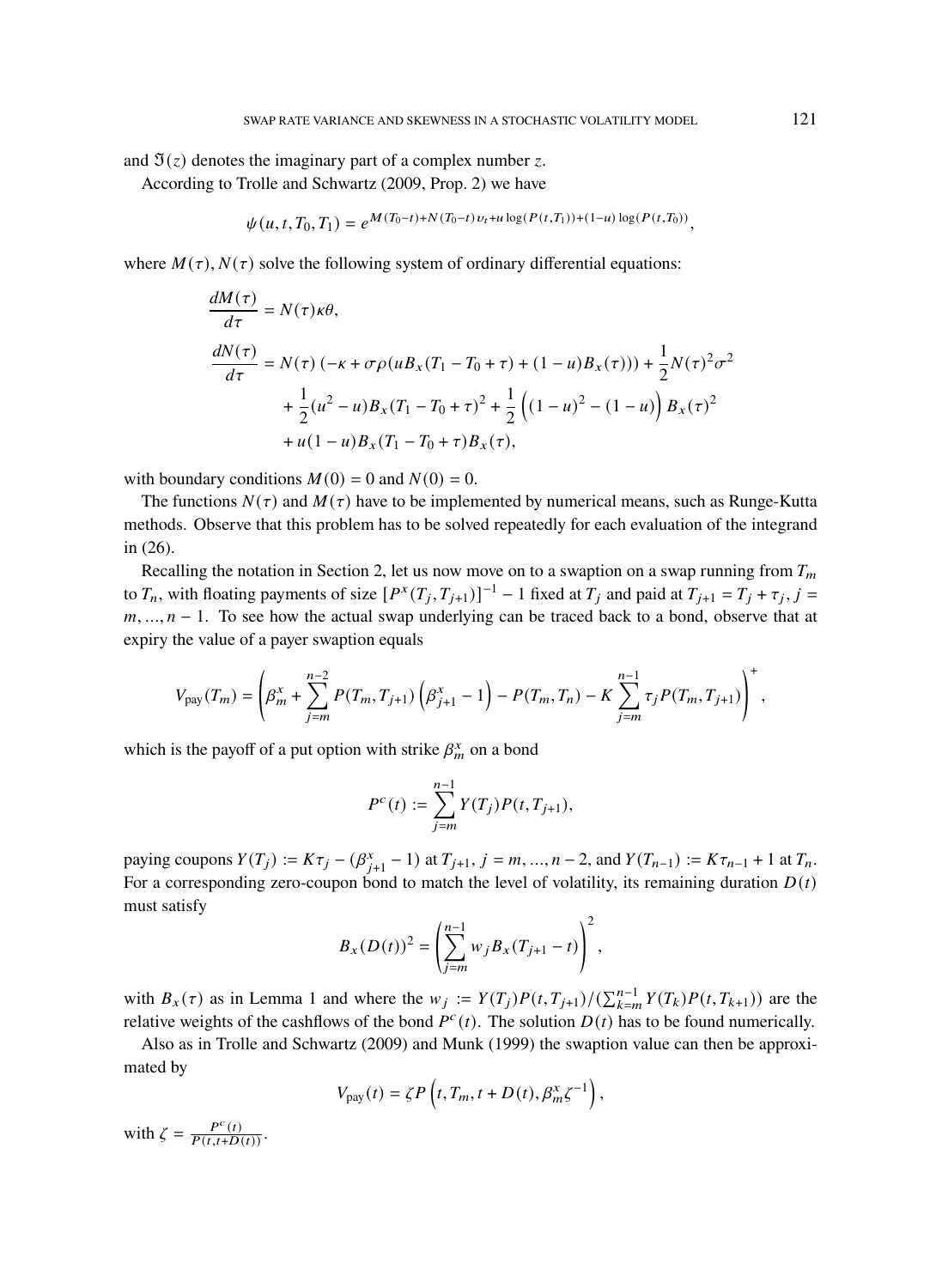and  $\mathfrak{I}(z)$  denotes the imaginary part of a complex number z.

According to Trolle and Schwartz (2009, Prop. 2) we have

$$
\psi(u, t, T_0, T_1) = e^{M(T_0 - t) + N(T_0 - t) v_t + u \log(P(t, T_1)) + (1 - u) \log(P(t, T_0))},
$$

where  $M(\tau)$ ,  $N(\tau)$  solve the following system of ordinary differential equations:

$$
\frac{dM(\tau)}{d\tau} = N(\tau)\kappa\theta,
$$
\n
$$
\frac{dN(\tau)}{d\tau} = N(\tau)(-\kappa + \sigma\rho(uB_x(T_1 - T_0 + \tau) + (1 - u)B_x(\tau))) + \frac{1}{2}N(\tau)^2\sigma^2
$$
\n
$$
+ \frac{1}{2}(u^2 - u)B_x(T_1 - T_0 + \tau)^2 + \frac{1}{2}\left((1 - u)^2 - (1 - u)\right)B_x(\tau)^2
$$
\n
$$
+ u(1 - u)B_x(T_1 - T_0 + \tau)B_x(\tau),
$$

with boundary conditions  $M(0) = 0$  and  $N(0) = 0$ .

The functions  $N(\tau)$  and  $M(\tau)$  have to be implemented by numerical means, such as Runge-Kutta methods. Observe that this problem has to be solved repeatedly for each evaluation of the integrand in (26).

Recalling the notation in Section 2, let us now move on to a swaption on a swap running from  $T_m$ to  $T_n$ , with floating payments of size  $[P^x(T_j, T_{j+1})]^{-1} - 1$  fixed at  $T_j$  and paid at  $T_{j+1} = T_j + \tau_j$ ,  $j =$  $m, ..., n - 1$ . To see how the actual swap underlying can be traced back to a bond, observe that at expiry the value of a payer swaption equals

$$
V_{\text{pay}}(T_m) = \left(\beta_m^x + \sum_{j=m}^{n-2} P(T_m, T_{j+1}) \left(\beta_{j+1}^x - 1\right) - P(T_m, T_n) - K \sum_{j=m}^{n-1} \tau_j P(T_m, T_{j+1})\right)^+,
$$

which is the payoff of a put option with strike  $\beta_m^x$  on a bond

$$
P^{c}(t) := \sum_{j=m}^{n-1} Y(T_{j}) P(t, T_{j+1}),
$$

paying coupons  $Y(T_j) := K\tau_j - (\beta_{j+1}^x - 1)$  at  $T_{j+1}, j = m, ..., n-2$ , and  $Y(T_{n-1}) := K\tau_{n-1} + 1$  at  $T_n$ . For a corresponding zero-coupon bond to match the level of volatility, its remaining duration  $D(t)$ must satisfy

$$
B_x(D(t))^2 = \left(\sum_{j=m}^{n-1} w_j B_x(T_{j+1} - t)\right)^2,
$$

with  $B_x(\tau)$  as in Lemma 1 and where the  $w_j := Y(T_j)P(t, T_{j+1})/(\sum_{k=m}^{n-1} Y(T_k)P(t, T_{k+1}))$  are the relative weights of the cashflows of the bond  $P^c(t)$ . The solution  $D(t)$  has to be found numerically.

Also as in Trolle and Schwartz (2009) and Munk (1999) the swaption value can then be approximated by

$$
V_{\text{pay}}(t) = \zeta P\left(t, T_m, t + D(t), \beta_m^x \zeta^{-1}\right),\,
$$

with  $\zeta = \frac{P^c(t)}{P(t,t+D(t))}$ .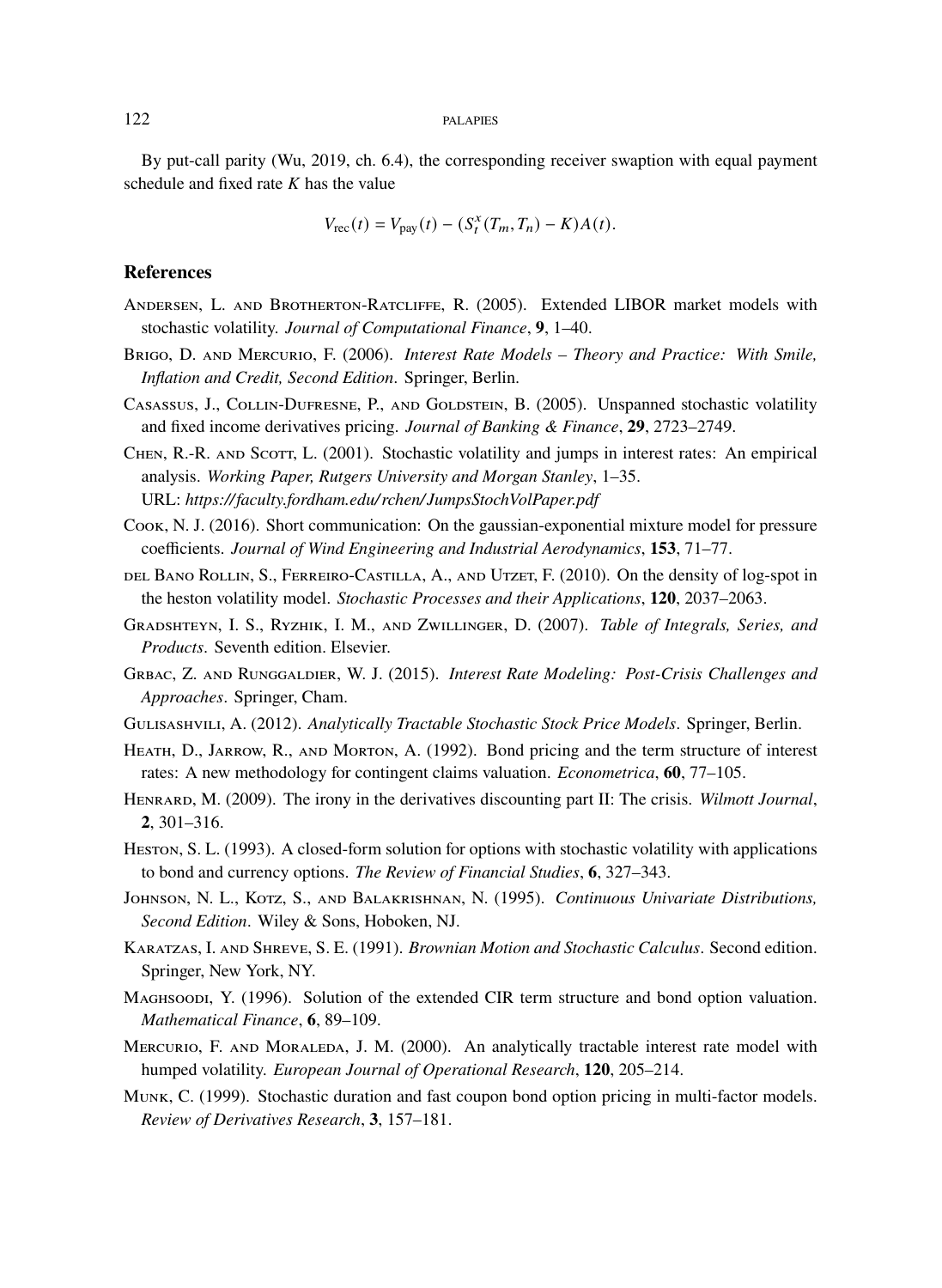By put-call parity (Wu, 2019, ch. 6.4), the corresponding receiver swaption with equal payment schedule and fixed rate  $K$  has the value

$$
V_{\rm rec}(t) = V_{\rm pay}(t) - (S_t^x(T_m, T_n) - K)A(t).
$$

## **References**

- Andersen, L. and Brotherton-Ratcliffe, R. (2005). Extended LIBOR market models with stochastic volatility. *Journal of Computational Finance*, **9**, 1–40.
- Brigo, D. and Mercurio, F. (2006). *Interest Rate Models Theory and Practice: With Smile, Inflation and Credit, Second Edition*. Springer, Berlin.
- CASASSUS, J., COLLIN-DUFRESNE, P., AND GOLDSTEIN, B. (2005). Unspanned stochastic volatility and fixed income derivatives pricing. *Journal of Banking & Finance*, **29**, 2723–2749.
- CHEN, R.-R. AND SCOTT, L. (2001). Stochastic volatility and jumps in interest rates: An empirical analysis. *Working Paper, Rutgers University and Morgan Stanley*, 1–35. URL: *https://faculty.fordham.edu/ rchen/JumpsStochVolPaper.pdf*
- Cook, N. J. (2016). Short communication: On the gaussian-exponential mixture model for pressure coefficients. *Journal of Wind Engineering and Industrial Aerodynamics*, **153**, 71–77.
- del Bano Rollin, S., Ferreiro-Castilla, A., and Utzet, F. (2010). On the density of log-spot in the heston volatility model. *Stochastic Processes and their Applications*, **120**, 2037–2063.
- Gradshteyn, I. S., Ryzhik, I. M., and Zwillinger, D. (2007). *Table of Integrals, Series, and Products*. Seventh edition. Elsevier.
- Grbac, Z. and Runggaldier, W. J. (2015). *Interest Rate Modeling: Post-Crisis Challenges and Approaches*. Springer, Cham.
- Gulisashvili, A. (2012). *Analytically Tractable Stochastic Stock Price Models*. Springer, Berlin.
- Heath, D., Jarrow, R., and Morton, A. (1992). Bond pricing and the term structure of interest rates: A new methodology for contingent claims valuation. *Econometrica*, **60**, 77–105.
- Henrard, M. (2009). The irony in the derivatives discounting part II: The crisis. *Wilmott Journal*, **2**, 301–316.
- Heston, S. L. (1993). A closed-form solution for options with stochastic volatility with applications to bond and currency options. *The Review of Financial Studies*, **6**, 327–343.
- Johnson, N. L., Kotz, S., and Balakrishnan, N. (1995). *Continuous Univariate Distributions, Second Edition*. Wiley & Sons, Hoboken, NJ.
- Karatzas, I. and Shreve, S. E. (1991). *Brownian Motion and Stochastic Calculus*. Second edition. Springer, New York, NY.
- Maghsoodi, Y. (1996). Solution of the extended CIR term structure and bond option valuation. *Mathematical Finance*, **6**, 89–109.
- MERCURIO, F. AND MORALEDA, J. M. (2000). An analytically tractable interest rate model with humped volatility. *European Journal of Operational Research*, **120**, 205–214.
- Munk, C. (1999). Stochastic duration and fast coupon bond option pricing in multi-factor models. *Review of Derivatives Research*, **3**, 157–181.